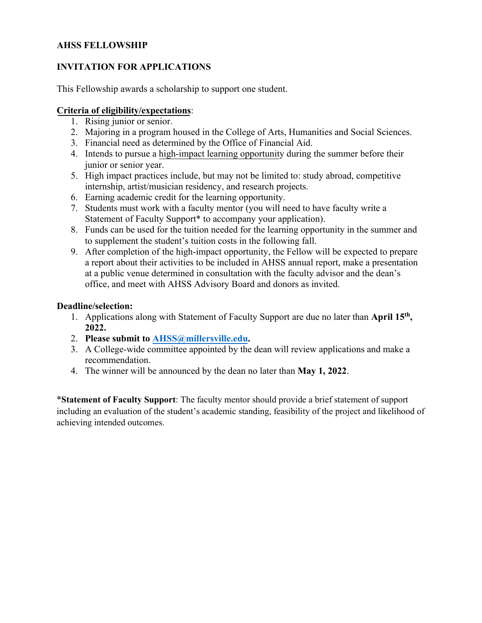## **AHSS FELLOWSHIP**

# **INVITATION FOR APPLICATIONS**

This Fellowship awards a scholarship to support one student.

## **Criteria of eligibility/expectations**:

- 1. Rising junior or senior.
- 2. Majoring in a program housed in the College of Arts, Humanities and Social Sciences.
- 3. Financial need as determined by the Office of Financial Aid.
- 4. Intends to pursue a high-impact learning opportunity during the summer before their junior or senior year.
- 5. High impact practices include, but may not be limited to: study abroad, competitive internship, artist/musician residency, and research projects.
- 6. Earning academic credit for the learning opportunity.
- 7. Students must work with a faculty mentor (you will need to have faculty write a Statement of Faculty Support<sup>\*</sup> to accompany your application).
- 8. Funds can be used for the tuition needed for the learning opportunity in the summer and to supplement the student's tuition costs in the following fall.
- 9. After completion of the high-impact opportunity, the Fellow will be expected to prepare a report about their activities to be included in AHSS annual report, make a presentation at a public venue determined in consultation with the faculty advisor and the dean's office, and meet with AHSS Advisory Board and donors as invited.

### **Deadline/selection:**

- 1. Applications along with Statement of Faculty Support are due no later than **April 15th , 2022.**
- 2. **Please submit to [AHSS@millersville.edu.](mailto:AHSS@millersville.edu)**
- 3. A College-wide committee appointed by the dean will review applications and make a recommendation.
- 4. The winner will be announced by the dean no later than **May 1, 2022**.

\***Statement of Faculty Support**: The faculty mentor should provide a brief statement of support including an evaluation of the student's academic standing, feasibility of the project and likelihood of achieving intended outcomes.